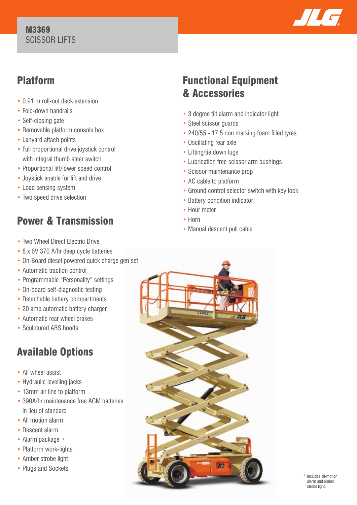### M3369 SCISSOR LIFTS



## Platform

- 0.91 m roll-out deck extension
- Fold-down handrails
- Self-closing gate
- Removable platform console box
- Lanyard attach points
- Full proportional drive joystick control with integral thumb steer switch
- Proportional lift/lower speed control
- Joystick enable for lift and drive
- Load sensing system
- Two speed drive selection

# Power & Transmission

- Two Wheel Direct Electric Drive
- 8 x 6V 370 A/hr deep cycle batteries
- On-Board diesel powered quick charge gen set
- Automatic traction control
- Programmable "Personality" settings
- On-board self-diagnostic testing
- Detachable battery compartments
- 20 amp automatic battery charger
- Automatic rear wheel brakes
- Sculptured ABS hoods

# Available Options

- All wheel assist
- Hydraulic levelling jacks
- 13mm air line to platform
- 390A/hr maintenance free AGM batteries in lieu of standard
- All motion alarm
- Descent alarm
- Alarm package 1
- Platform work-lights
- Amber strobe light
- Plugs and Sockets

## Functional Equipment & Accessories

- 3 degree tilt alarm and indicator light
- Steel scissor guards
- 240/55 17.5 non marking foam filled tyres
- Oscillating rear axle
- Lifting/tie down lugs
- Lubrication free scissor arm bushings
- Scissor maintenance prop
- AC cable to platform
- Ground control selector switch with key lock
- Battery condition indicator
- Hour meter
- Horn
- Manual descent pull cable



1